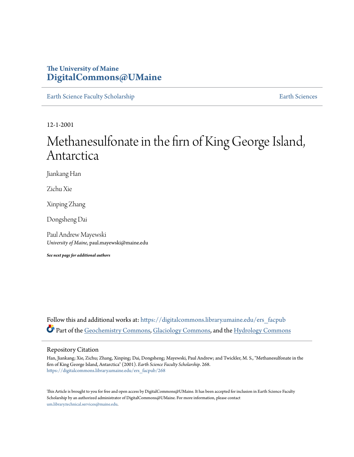### **The University of Maine [DigitalCommons@UMaine](https://digitalcommons.library.umaine.edu?utm_source=digitalcommons.library.umaine.edu%2Fers_facpub%2F268&utm_medium=PDF&utm_campaign=PDFCoverPages)**

[Earth Science Faculty Scholarship](https://digitalcommons.library.umaine.edu/ers_facpub?utm_source=digitalcommons.library.umaine.edu%2Fers_facpub%2F268&utm_medium=PDF&utm_campaign=PDFCoverPages) **[Earth Sciences](https://digitalcommons.library.umaine.edu/ers?utm_source=digitalcommons.library.umaine.edu%2Fers_facpub%2F268&utm_medium=PDF&utm_campaign=PDFCoverPages)** 

12-1-2001

# Methanesulfonate in the firn of King George Island, Antarctica

Jiankang Han

Zichu Xie

Xinping Zhang

Dongsheng Dai

Paul Andrew Mayewski *University of Maine*, paul.mayewski@maine.edu

*See next page for additional authors*

Follow this and additional works at: [https://digitalcommons.library.umaine.edu/ers\\_facpub](https://digitalcommons.library.umaine.edu/ers_facpub?utm_source=digitalcommons.library.umaine.edu%2Fers_facpub%2F268&utm_medium=PDF&utm_campaign=PDFCoverPages) Part of the [Geochemistry Commons](http://network.bepress.com/hgg/discipline/157?utm_source=digitalcommons.library.umaine.edu%2Fers_facpub%2F268&utm_medium=PDF&utm_campaign=PDFCoverPages), [Glaciology Commons,](http://network.bepress.com/hgg/discipline/159?utm_source=digitalcommons.library.umaine.edu%2Fers_facpub%2F268&utm_medium=PDF&utm_campaign=PDFCoverPages) and the [Hydrology Commons](http://network.bepress.com/hgg/discipline/1054?utm_source=digitalcommons.library.umaine.edu%2Fers_facpub%2F268&utm_medium=PDF&utm_campaign=PDFCoverPages)

#### Repository Citation

Han, Jiankang; Xie, Zichu; Zhang, Xinping; Dai, Dongsheng; Mayewski, Paul Andrew; and Twickler, M. S., "Methanesulfonate in the firn of King George Island, Antarctica" (2001). *Earth Science Faculty Scholarship*. 268. [https://digitalcommons.library.umaine.edu/ers\\_facpub/268](https://digitalcommons.library.umaine.edu/ers_facpub/268?utm_source=digitalcommons.library.umaine.edu%2Fers_facpub%2F268&utm_medium=PDF&utm_campaign=PDFCoverPages)

This Article is brought to you for free and open access by DigitalCommons@UMaine. It has been accepted for inclusion in Earth Science Faculty Scholarship by an authorized administrator of DigitalCommons@UMaine. For more information, please contact [um.library.technical.services@maine.edu](mailto:um.library.technical.services@maine.edu).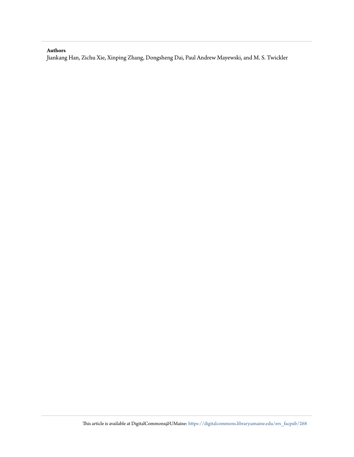#### **Authors**

Jiankang Han, Zichu Xie, Xinping Zhang, Dongsheng Dai, Paul Andrew Mayewski, and M. S. Twickler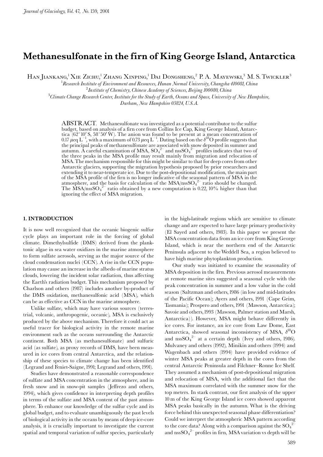## Methanesulfonate in the firn of King George Island, Antarctica

HAN JIANKANG,<sup>1</sup> XIE ZICHU,<sup>1</sup> ZHANG XINPING,<sup>1</sup> DAI DONGSHENG,<sup>2</sup> P. A. MAYEWSKI,<sup>3</sup> M. S. TWICKLER<sup>3</sup>

 $1$ Research Institute of Environment and Resources, Hunan Normal University, Changsha 410081, China

<sup>2</sup>Institute of Chemistry, Chinese Academy of Sciences, Beijing 100080, China

 $^3$ Climate Change Research Center, Institute for the Study of Earth, Oceans and Space, University of New Hampshire,

Durham, New Hampshire 03824, U.S.A.

ABSTRACT. Methanesulfonate was investigated as a potential contributor to the sulfur budget, based on analysis of a firn core from Collins Ice Cap, King George Island, Antarctica (62° 10′ S, 58° 50′ W). The anion was found to be present at a mean concentration of 0.17  $\mu$ eq L<sup>-1</sup>, with a maximum of 0.73  $\mu$ eq L<sup>-1</sup>. Dating based on the  $\delta^{18}$ O profile suggests that the principal peaks of methanesulfonate are associated with snow deposited in summer and autumn. A careful examination of MSA,  $SO_4^2$  and nss $SO_4^2$  profiles indicates that two of the three peaks in the MSA profile may result mainly from migration and relocation of MSA. The mechanism responsible for this might be similar to that for deep cores from other Antarctic glaciers, supporting the migration hypothesis proposed by prior researchers and extending it to near-temperate ice. Due to the post-depositional modification, the main part of the MSA profile of the firn is no longer indicative of the seasonal pattern of MSA in the atmosphere, and the basis for calculation of the MSA/nssSO<sub>4</sub><sup>2</sup> ratio should be changed. The  $MSA/nssSO<sub>4</sub><sup>2</sup>$ ratio obtained by a new computation is 0.22,  $10\%$  higher than that ignoring the effect of MSA migration.

#### 1. INTRODUCTION

It is now well recognized that the oceanic biogenic sulfur cycle plays an important role in the forcing of global climate. Dimethylsulfide (DMS) derived from the planktonic algae in sea water oxidizes in the marine atmosphere to form sulfate aerosols, serving as the major source of the cloud condensation nuclei (CCN). A rise in the CCN population may cause an increase in the albedo of marine stratus clouds, lowering the incident solar radiation, thus affecting the Earth's radiation budget. This mechanism proposed by Charlson and others (1987) includes another by-product of the DMS oxidation, methanesulfonic acid (MSA), which can be as effective as CCN in the marine atmosphere.

Unlike sulfate, which may have various sources (terrestrial, volcanic, anthropogenic, oceanic), MSA is exclusively produced by the above mechanism. Therefore it could act as useful tracer for biological activity in the remote marine environment such as the oceans surrounding the Antarctic continent. Both MSA (as methanesulfonate) and sulfuric acid (as sulfate), as proxy records of DMS, have been measured in ice cores from central Antarctica, and the relationship of these species to climate change has been identified (Legrand and Feniet-Saigne, 1991; Legrand and others, 1991).

Studies have demonstrated a reasonable correspondence of sulfate and MSA concentration in the atmosphere, and in fresh snow and in snow-pit samples (Jeffrezo and others, 1994), which gives confidence in interpreting depth profiles in terms of the sulfate and MSA content of the past atmosphere. To enhance our knowledge of the sulfur cycle and its global budget, and to evaluate unambiguously the past levels of biological activity in the oceans by means of deep ice-core analysis, it is crucially important to investigate the current spatial and temporal variation of sulfur species, particularly

in the high-latitude regions which are sensitive to climate change and are expected to have large primary productivity (El Sayed and others, 1983). In this paper we present the MSA concentration data from an ice core from King George Island, which is near the northern end of the Antarctic Peninsula adjacent to the Weddell Sea, a region believed to have high marine phytoplankton production.

Our study was initiated to examine the seasonality of MSA deposition in the firn. Previous aerosol measurements at remote marine sites suggested a seasonal cycle with the peak concentration in summer and a low value in the cold season (Saltzman and others, 1986 (in low and mid-latitudes of the Pacific Ocean); Ayers and others, 1991 (Cape Grim, Tasmania); Prospero and others, 1991 (Mawson, Antarctica); Savoie and others, 1993 (Mawson, Palmer station and Marsh, Antarctica)). However, MSA might behave differently in ice cores. For instance, an ice core from Law Dome, East Antarctica, showed seasonal inconsistency of MSA,  $\delta^{18}O$ and  $nssSO_4^{2-}$  at a certain depth (Ivey and others, 1986). Mulvaney and others (1992), Minikin and others (1994) and Wagenbach and others (1994) have provided evidence of winter MSA peaks at greater depth in the cores from the central Antarctic Peninsula and Filchner-Ronne Ice Shelf. They assumed a mechanism of post-depositional migration and relocation of MSA, with the additional fact that the MSA maximum correlated with the summer snow for the top meters. In stark contrast, our first analysis of the upper 10 m of the King George Island ice cores showed apparent MSA peaks basically in the autumn. What is the driving force behind this unexpected seasonal phase differentiation? Could we interpret the atmospheric MSA pattern according to the core data? Along with a comparison against the  $SO_4^2$ and nss $SO_4^2$  profiles in firn, MSA variation vs depth will be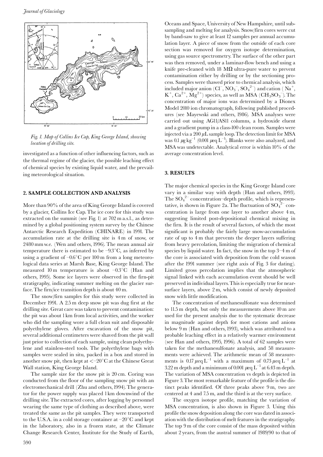

Fig. 1. Map of Collins Ice Cap, King George Island, showing *location of drilling site.* 

investigated as a function of other influencing factors, such as the thermal regime of the glacier, the possible leaching effect of chemical species by existing liquid water, and the prevailing meteorological situation.

#### 2. SAMPLE COLLECTION AND ANALYSIS

More than 90% of the area of King George Island is covered by a glacier, Collins Ice Cap. The ice core for this study was extracted on the summit (see Fig. 1) at 702 m a.s.l., as determined by a global positioning system survey by the Chinese Antarctic Research Expedition (CHINARE) in 1991. The accumulation rate at the drilling site is 4 m of snow, or 2480 mm w.e. (Wen and others, 1996). The mean annual air temperature there is estimated to be  $-9.3^{\circ}$ C, as inferred by using a gradient of  $-0.6^{\circ}$ C per 100 m from a long meteorological data series at Marsh Base, King George Island. The measured 10 m temperature is about  $-0.3$ °C (Han and others, 1995). Some ice layers were observed in the firn-pit stratigraphy, indicating summer melting on the glacier surface. The firm/ice transition depth is about 40 m.

The snow/firn samples for this study were collected in December 1991. A 2.5 m deep snow pit was dug first at the drilling site. Great care was taken to prevent contamination: the pit was about 1 km from local activities, and the worker who did the sampling wore a full clean suit and disposable polyethylene gloves. After excavation of the snow pit, several additional centimeters were shaved from the pit wall just prior to collection of each sample, using clean polyethylene and stainless-steel tools. The polyethylene bags with samples were sealed in situ, packed in a box and stored in another snow pit, then kept at  $\langle -20^{\circ}$ C at the Chinese Great Wall station, King George Island.

The sample size for the snow pit is 20 cm. Coring was conducted from the floor of the sampling snow pit with an electromechanical drill (Zhu and others, 1994). The generator for the power supply was placed 1 km downwind of the drilling site. The extracted cores, after logging by personnel wearing the same type of clothing as described above, were treated the same as the pit samples. They were transported to the U.S.A. in a cold storage container at  $-20^{\circ}$ C and kept in the laboratory, also in a frozen state, at the Climate Change Research Center, Institute for the Study of Earth,

Oceans and Space, University of New Hampshire, until subsampling and melting for analysis. Snow/firn cores were cut by band-saw to give at least 12 samples per annual accumulation layer. A piece of snow from the outside of each core section was removed for oxygen isotope determination, using gas source spectrometry. The surface of the other part was then removed, under a laminar-flow bench and using a knife pre-cleaned with 18  $M\Omega$  ultra-pure water to prevent contamination either by drilling or by the sectioning process. Samples were thawed prior to chemical analysis, which included major anion  $(Cl^-, NO_3^-, SO_4^{2-})$  and cation ( $Na^+,$  $K^+$ ,  $Ca^{2+}$ ,  $Mg^{2+}$ ) species, as well as MSA (CH<sub>3</sub>SO<sub>3</sub><sup>-</sup>). The concentration of major ions was determined by a Dionex Model 2010 ion chromatograph, following published procedures (see Mayewski and others, 1986). MSA analyses were carried out using AGII/ASII columns, a hydroxide eluent and a gradient pump in a class-100 clean room. Samples were injected via a  $200 \mu L$  sample loop. The detection limit for MSA was 0.1  $\mu$ g kg<sup>-1</sup> (0.001  $\mu$ eq L<sup>-1</sup>). Blanks were also analyzed, and MSA was undetectable. Analytical error is within 10% of the average concentration level.

#### 3. RESULTS

The major chemical species in the King George Island core vary in a similar way with depth (Han and others, 1993). The  $SO_4^2$  concentration-depth profile, which is representative, is shown in Figure 2a. The fluctuation of  ${SO_4}^{2-}$  concentration is large from one layer to another above 4 m, suggesting limited post-depositional chemical mixing in the firn. It is the result of several factors, of which the most significant is probably the fairly large snow-accumulation rate of up to 4 m that prevents the deeper layers suffering from heavy percolation, limiting the migration of chemical species by liquid water. In fact, the snow in the top  $3-4$  m of the core is associated with deposition from the cold season after the 1991 summer (see right axis of Fig. 3 for dating). Limited gross percolation implies that the atmospheric signal linked with each accumulation event should be well preserved in individual layers. This is especially true for nearsurface layers, above 2 m, which consist of newly deposited snow with little modification.

The concentration of methanesulfonate was determined to 11.5 m depth, but only the measurements above 10 m are used for the present analysis due to the systematic decrease in magnitude against depth for most cations and anions below 9 m (Han and others, 1993), which was attributed to a probable leaching effect in a relatively warmer environment (see Han and others, 1995, 1996). A total of 62 samples were taken for the methanesulfonate analysis, and 58 measurements were achieved. The arithmetic mean of 58 measurements is 0.17  $\mu$ eq L<sup>-1</sup> with a maximum of 0.73  $\mu$ eq L<sup>-1</sup> at 3.22 m depth and a minimum of 0.001  $\mu$ eq L<sup>-1</sup> at 6.43 m depth. The variation of MSA concentration vs depth is depicted in Figure 3. The most remarkable feature of the profile is the distinct peaks identified. Of three peaks above 9 m, two are centered at 4 and 7.5 m, and the third is at the very surface.

The oxygen isotope profile, matching the variation of MSA concentration, is also shown in Figure 3. Using this profile the snow deposition along the core was dated in association with the distribution of melt features in the stratigraphy. The top 9 m of the core consist of the mass deposited within about 2 years, from the austral summer of 1989/90 to that of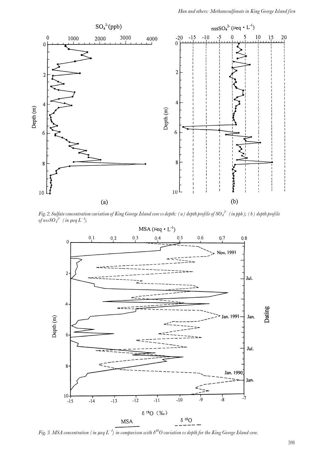

Fig. 2. Sulfate concentration variation of King George Island core vs depth: (a) depth profile of  $SO_4^2^-$  (in ppb); (b) depth profile of nssSO<sub>4</sub><sup>2-</sup> (in  $\mu$ eq L<sup>-1</sup>).



Fig. 3. MSA concentration (in  $\mu$ eq  $L^{-1}$ ) in comparison with  $\delta^{l3}O$  variation vs depth for the King George Island core.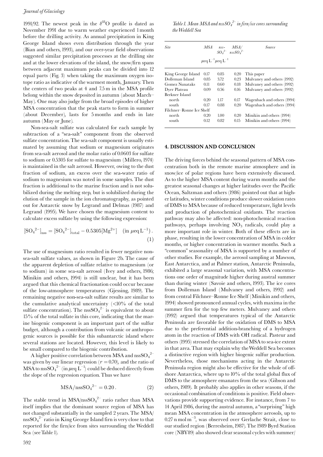#### Journal of Glaciology

1991/92. The newest peak in the  $\delta^{18}O$  profile is dated as November 1991 due to warm weather experienced 1 month before the drilling activity. As annual precipitation in King George Island shows even distribution through the year (Bian and others, 1993), and our over-year field observations suggested similar precipitation processes at the drilling site and at the lower elevations of the island, the snow/firm spans between adjacent maximum peaks can be divided into 12 equal parts (Fig. 3) when taking the maximum oxygen isotope ratio as indicative of the warmest month, January. Then the centers of two peaks at 4 and 7.5 m in the MSA profile belong within the snow deposited in autumn (about March-May). One may also judge from the broad episodes of higher MSA concentration that the peak starts to form in summer (about December), lasts for 5 months and ends in late autumn (May or June).

Non-sea-salt sulfate was calculated for each sample by subtraction of a "sea-salt" component from the observed sulfate concentration. The sea-salt component is usually estimated by assuming that sodium or magnesium originates from sea-salt aerosol and the molar ratio of 0.0603 for sulfate to sodium or 0.5305 for sulfate to magnesium (Millero, 1974) is maintained in the salt aerosol. However, owing to the dust fraction of sodium, an excess over the sea-water ratio of sodium to magnesium was noted in some samples. The dust fraction is additional to the marine fraction and is not solubilized during the melting step, but is solubilized during the elution of the sample in the ion chromatography, as pointed out for Antarctic snow by Legrand and Delmas (1987) and Legrand (1995). We have chosen the magnesium content to calculate excess sulfate by using the following expression:

$$
[\text{SO}_4{}^{2-}]_{\text{nss}} = [\text{SO}_4{}^{2-}]_{\text{total}} - 0.5305[\text{Mg}^{2+}] \quad (\text{in } \mu\text{eq L}^{-1}).
$$
\n(1)

The use of magnesium ratio resulted in fewer negative nonsea-salt sulfate values, as shown in Figure 2b. The cause of the apparent depletion of sulfate relative to magnesium (or to sodium) in some sea-salt aerosol (Ivey and others, 1986; Minikin and others, 1994) is still unclear, but it has been argued that this chemical fractionation could occur because of the low-atmosphere temperatures (Giessing, 1989). The remaining negative non-sea-salt sulfate results are similar to the cumulative analytical uncertainty  $\langle$  <10% of the total sulfate concentration). The nssSO<sub>4</sub><sup>2-</sup> is equivalent to about 15% of the total sulfate in this core, indicating that the marine biogenic component is an important part of the sulfur budget, although a contribution from volcanic or anthropogenic sources is possible for this subantarctic island where several stations are located. However, this level is likely to be small compared to the biogenic contribution.

A higher positive correlation between MSA and nss ${SO_4}^{2-}$ was given by our linear regression  $(r = 0.70)$ , and the ratio of MSA to nssSO<sub>4</sub><sup>2-</sup> (in  $\mu$ eq L<sup>-1</sup>) could be deduced directly from the slope of the regression equation. Thus we have

$$
MSA/nssSO_4^{2-} = 0.20.
$$
 (2)

The stable trend in  $MSA/nssSO<sub>4</sub><sup>2-</sup>$  ratio rather than MSA itself implies that the dominant source region of MSA has not changed substantially in the sampled 2 years. The MSA/  $n_{\rm BSSO_4}^{2-}$  ratio in King George Island firm is very close to that reported for the firn/ice from sites surrounding the Weddell Sea (see Table 1).

Table 1. Mean MSA and nss ${SO_4}^{2-}$  in firn/ice cores surrounding the Weddell Sea

| <b>Site</b>              | MSA  | $nss-$                                            | MSA/<br>$SO_4^{2-}$ nss $SO_4^{2-}$ | Source                      |
|--------------------------|------|---------------------------------------------------|-------------------------------------|-----------------------------|
|                          |      | $\mu$ eq L <sup>-1</sup> $\mu$ eq L <sup>-1</sup> |                                     |                             |
| King George Island       | 0.17 | 0.85                                              | 0.20                                | This paper                  |
| Dolleman Island          | 0.85 | 3.72                                              | 0.23                                | Mulvaney and others (1992)  |
| Gomez Nunataks           | 0.11 | 0.60                                              | 0.18                                | Mulvaney and others (1992)  |
| Dver Plateau             | 0.09 | 0.56                                              | 0.16                                | Mulvaney and others (1992)  |
| Berkner Island           |      |                                                   |                                     |                             |
| north                    | 0.20 | 1.17                                              | 0.17                                | Wagenbach and others (1994) |
| south                    | 0.17 | 0.88                                              | 0.20                                | Wagenbach and others (1994) |
| Filchner–Ronne Ice Shelf |      |                                                   |                                     |                             |
| north                    | 0.20 | 1.00                                              | 0.20                                | Minikin and others (1994)   |
| south                    | 0.12 | 0.82                                              | 0.15                                | Minikin and others (1994)   |

#### 4. DISCUSSION AND CONCLUSION

The driving forces behind the seasonal pattern of MSA concentration both in the remote marine atmosphere and in snow/ice of polar regions have been extensively discussed. As to the higher MSA content during warm months and the greatest seasonal changes at higher latitudes over the Pacific Ocean, Saltzman and others (1986) pointed out that at higher latitudes, winter conditions produce slower oxidation rates of DMS to MSA because of reduced temperature, light levels and production of photochemical oxidants. The reaction pathway may also be affected: non-photochemical reaction pathways, perhaps involving  $NO<sub>3</sub>$  radicals, could play a more important role in winter. Both of these effects are in phase, resulting in the lower concentration of MSA in colder months, or higher concentration in warmer months. Such a "common" seasonality of MSA is supported by a number of other studies. For example, the aerosol sampling at Mawson, East Antarctica, and at Palmer station, Antarctic Peninsula, exhibited a large seasonal variation, with MSA concentrations one order of magnitude higher during austral summer than during winter (Savoie and others, 1993). The ice cores from Dolleman Island (Mulvaney and others, 1992) and from central Filchner–Ronne Ice Shelf (Minikin and others, 1994) showed pronounced annual cycles, with maxima in the summer firn for the top few meters. Mulvaney and others (1992) argued that temperatures typical of the Antarctic Peninsula are favorable for the oxidation of DMS to MSA due to the preferential addition-branching of a hydrogen atom in the reaction of DMS with OH radical. Pasteur and others (1995) stressed the correlation of MSA to sea-ice extent in that area. That may explain why the Weddell Sea becomes a distinctive region with higher biogenic sulfur production. Nevertheless, those mechanisms acting in the Antarctic Peninsula region might also be effective for the whole of offshore Antarctica, where up to 10% of the total global flux of DMS to the atmosphere emanates from the sea (Gibson and others, 1989). It probably also applies in other seasons, if the occasional combination of conditions is positive. Field observations provide supporting evidence. For instance, from 7 to 14 April 1986, during the austral autumn, a "surprising" high mean MSA concentration in the atmosphere aerosols, up to  $0.27$  n mol m<sup>-3</sup>, was observed over Gerlache Strait, close to our studied region (Berresheim, 1987). The 1989 Byrd Station core (NBY89) also showed clear seasonal cycles with summer/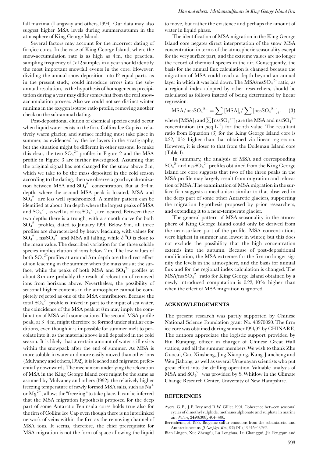fall maxima (Langway and others, 1994). Our data may also suggest higher MSA levels during summer/autumn in the atmosphere of King George Island.

Several factors may account for the incorrect dating of firn/ice cores. In the case of King George Island, where the snow-accumulation rate is as high as 4m, the practical sampling frequency of  $>12$  samples in a year should identify the most important snowfall events in the core. However, dividing the annual snow deposition into 12 equal parts, as in the present study, could introduce errors into the subannual resolution, as the hypothesis of homogeneous precipitation during a year may differ somewhat from the real snowaccumulation process. Also we could not see distinct winter minima in the oxygen isotope ratio profile, removing another check on the sub-annual dating.

Post-depositional elution of chemical species could occur when liquid water exists in the firn. Collins Ice Cap is a relatively warm glacier, and surface melting must take place in summer, as evidenced by the ice layers in the stratigraphy, but the situation might be different in other seasons. To make this clear, the two  $SO_4^2$  profiles in Figure 2 and the MSA profile in Figure 3 are further investigated. Assuming that the original signal has not changed for the snow above 2 m, which we take to be the mass deposited in the cold season according to the dating, then we observe a good synchronization between MSA and  $SO_4^2$  concentration. But at 3-4 m depth, where the second MSA peak is located, MSA and  $SO_4^2$  are less well synchronized. A similar pattern can be identified at about 8 m depth where the largest peaks of MSA and  $SO_4^2$ , as well as of nss $SO_4^2$ , are located. Between these two depths there is a trough, with a smooth curve for both  $SO_4^2$  profiles, dated to January 1991. Below 9 m, all three profiles are characterized by heavy leaching, with values for  $SO_4^2$ , nss $SO_4^2$  and MSA all falling, while  $\delta^{18}O$  is close to the mean value. The described variation for the three soluble species implies elution of ions below 2 m. The low values of both  $SO_4^2$ <sup>-</sup>profiles at around 5 m depth are the direct effect of ion leaching in the summer when the mass was at the surface, while the peaks of both MSA and  $SO_4^2$  profiles at about 8 m are probably the result of relocation of removed ions from horizons above. Nevertheless, the possibility of seasonal higher contents in the atmosphere cannot be completely rejected as one of the MSA contributors. Because the total  $SO_4^2$  profile is linked in part to the input of sea water, the coincidence of the MSA peak at 8 m may imply the combination of MSA with some cations. The second MSA profile peak, at 3-4 m, might therefore be formed under similar conditions, even though it is impossible for summer melt to percolate into it, as the material above is all deposited in the cold season. It is likely that a certain amount of water still exists within the snowpack after the end of summer. As MSA is more soluble in water and more easily moved than other ions (Mulvaney and others, 1992), it is leached and migrated preferentially downwards. The mechanism underlying the relocation of MSA in the King George Island core might be the same as assumed by Mulvaney and others (1992): the relatively higher freezing temperature of newly formed MSA salts, such as Na<sup>+</sup> or  $Mg^{2+}$ , allows the "freezing" to take place. It can be inferred that the MSA migration hypothesis proposed for the deep part of some Antarctic Peninsula cores holds true also for the firn of Collins Ice Cap even though there is no interlinked network of veins within the firn as the removing channel of MSA ions. It seems, therefore, the chief prerequisite for MSA migration is not the form of space allowing the liquid

to move, but rather the existence and perhaps the amount of water in liquid phase.

The identification of MSA migration in the King George Island core negates direct interpretation of the snow MSA concentration in terms of the atmospheric seasonality except for the very surface part, and the extreme values are no longer the record of chemical species in the air. Consequently, the basis for the annual flux calculation is changed because the migration of MSA could reach a depth beyond an annual layer in which it was laid down. The  $MSA/nssSO<sub>4</sub><sup>2-</sup> ratio, as$ a regional index adopted by other researchers, should be calculated as follows instead of being determined by linear regression:

$$
\text{MSA}/\text{nssSO}_4{}^{2-} = \sum \left[ \text{MSA} \right]_i / \sum \left[ \text{nssSO}_4{}^{2-} \right]_i, \quad (3)
$$

where  $\mathrm{[MSA]}_i$  and  $\sum \mathrm{[nss{SO_4}^{2-}]_i}$  are the MSA and  $\mathrm{nss{SO_4}^{2-}}$ concentration (in  $\mu$ eq L<sup>-1</sup>) for the *i*th value. The resultant ratio from Equation (3) for the King George Island core is  $0.22$ ,  $10\%$  higher than that obtained via linear regression. However, it is closer to that from the Dolleman Island core (Table 1).

In summary, the analysis of MSA and corresponding  $SO_4^2$  and nss $SO_4^2$  profiles obtained from the King George Island ice core suggests that two of the three peaks in the MSA profile may largely result from migration and relocation of MSA. The examination of MSA migration in the surface firn suggests a mechanism similar to that observed in the deep part of some other Antarctic glaciers, supporting the migration hypothesis proposed by prior researchers, and extending it to a near-temperate glacier.

The general pattern of MSA seasonality in the atmosphere of King George Island could only be derived from the near-surface part of the profile. MSA concentrations were highest in summer and lowest in winter, but this does not exclude the possibility that the high concentration extends into the autumn. Because of post-depositional modification, the MSA extremes for the firn no longer signify the levels in the atmosphere, and the basis for annual flux and for the regional index calculation is changed. The  $MSA/nssSO<sub>4</sub><sup>2-</sup> ratio for King George Island obtained by a$ newly introduced computation is 0.22, 10% higher than when the effect of MSA migration is ignored.

#### **ACKNOWLEDGEMENTS**

The present research was partly supported by Chinese National Science Foundation grant No. 48970020. The firn/ ice core was obtained during summer 1991/92 by CHINARE. The authors appreciate the logistic support provided by Fan Runging, officer in charger of Chinese Great Wall station, and all the summer members. We wish to thank Zhu Guocai, Gao Xinsheng, Jing Xiaoping, Kang Jiancheng and Wen Jiahong, as well as several Uruguayan scientists who put great effort into the drilling operation. Valuable analysis of MSA and  $SO_4^2$ <sup>-</sup> was provided by S. Whitlow in the Climate Change Research Center, University of New Hampshire.

#### **REFERENCES**

Ayers, G. P., J. P. Ivey and R.W. Gillet. 1991. Coherence between seasonal cycles of dimethyl sulphide, methanesulphonate and sulphate in marine air. Nature, 349 (6308), 404-406.

Berresheim, H. 1987. Biogenic sulfur emissions from the subantarctic and Antarctic oceans. *J. Geophys. Res.*, 92(D11), 13,245-13,262.

Bian Lingen, Xue Zhengfu, Lu Longhua, Lu Changgui, Jia Pengqun and